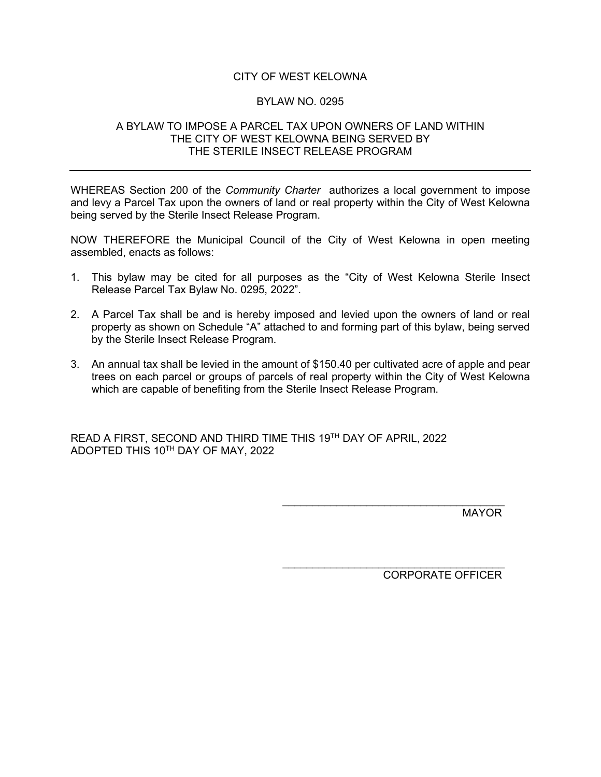# CITY OF WEST KELOWNA

## BYLAW NO. 0295

## A BYLAW TO IMPOSE A PARCEL TAX UPON OWNERS OF LAND WITHIN THE CITY OF WEST KELOWNA BEING SERVED BY THE STERILE INSECT RELEASE PROGRAM

WHEREAS Section 200 of the *Community Charter* authorizes a local government to impose and levy a Parcel Tax upon the owners of land or real property within the City of West Kelowna being served by the Sterile Insect Release Program.

NOW THEREFORE the Municipal Council of the City of West Kelowna in open meeting assembled, enacts as follows:

- 1. This bylaw may be cited for all purposes as the "City of West Kelowna Sterile Insect Release Parcel Tax Bylaw No. 0295, 2022".
- 2. A Parcel Tax shall be and is hereby imposed and levied upon the owners of land or real property as shown on Schedule "A" attached to and forming part of this bylaw, being served by the Sterile Insect Release Program.
- 3. An annual tax shall be levied in the amount of \$150.40 per cultivated acre of apple and pear trees on each parcel or groups of parcels of real property within the City of West Kelowna which are capable of benefiting from the Sterile Insect Release Program.

READ A FIRST, SECOND AND THIRD TIME THIS 19TH DAY OF APRIL, 2022 ADOPTED THIS 10TH DAY OF MAY, 2022

> $\mathcal{L}_\text{max}$  , where  $\mathcal{L}_\text{max}$  and  $\mathcal{L}_\text{max}$  and  $\mathcal{L}_\text{max}$ **MAYOR**

> \_\_\_\_\_\_\_\_\_\_\_\_\_\_\_\_\_\_\_\_\_\_\_\_\_\_\_\_\_\_\_\_\_\_\_\_\_ CORPORATE OFFICER